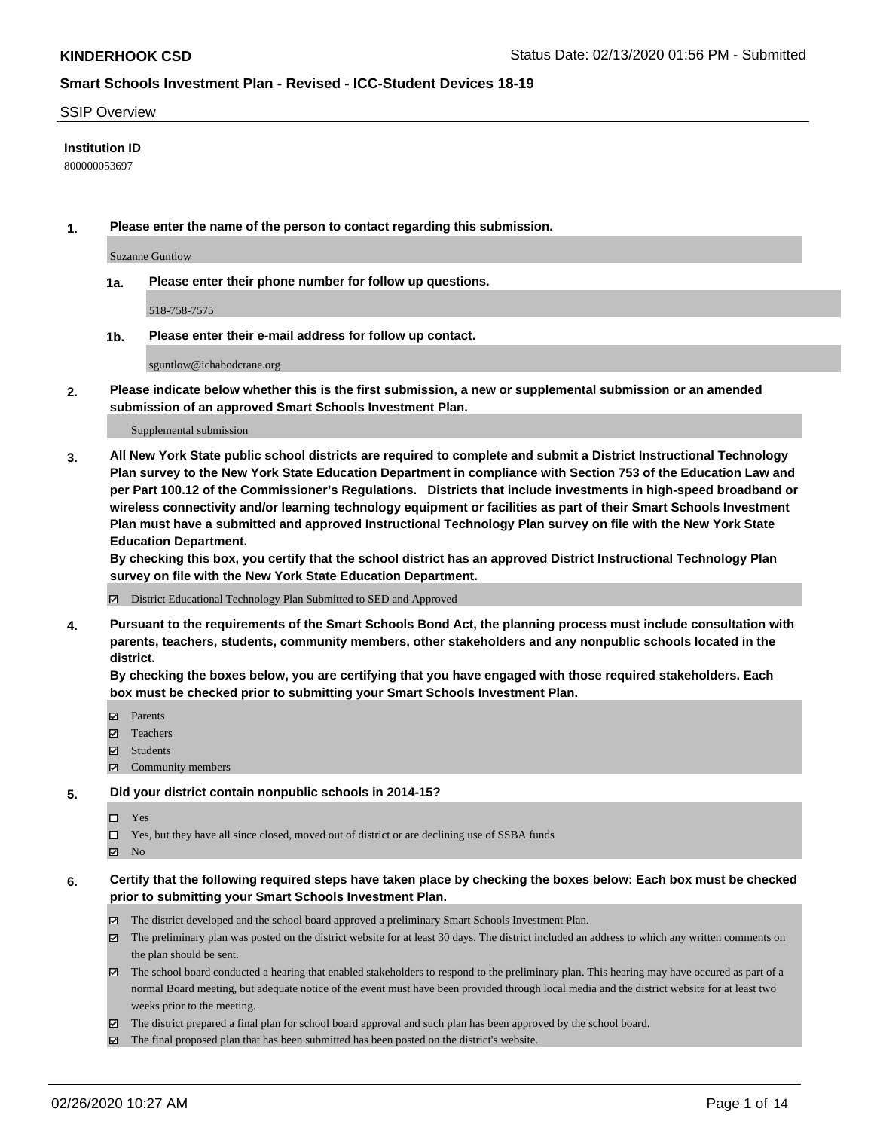### SSIP Overview

### **Institution ID**

800000053697

**1. Please enter the name of the person to contact regarding this submission.**

Suzanne Guntlow

**1a. Please enter their phone number for follow up questions.**

518-758-7575

**1b. Please enter their e-mail address for follow up contact.**

sguntlow@ichabodcrane.org

**2. Please indicate below whether this is the first submission, a new or supplemental submission or an amended submission of an approved Smart Schools Investment Plan.**

#### Supplemental submission

**3. All New York State public school districts are required to complete and submit a District Instructional Technology Plan survey to the New York State Education Department in compliance with Section 753 of the Education Law and per Part 100.12 of the Commissioner's Regulations. Districts that include investments in high-speed broadband or wireless connectivity and/or learning technology equipment or facilities as part of their Smart Schools Investment Plan must have a submitted and approved Instructional Technology Plan survey on file with the New York State Education Department.** 

**By checking this box, you certify that the school district has an approved District Instructional Technology Plan survey on file with the New York State Education Department.**

District Educational Technology Plan Submitted to SED and Approved

**4. Pursuant to the requirements of the Smart Schools Bond Act, the planning process must include consultation with parents, teachers, students, community members, other stakeholders and any nonpublic schools located in the district.** 

**By checking the boxes below, you are certifying that you have engaged with those required stakeholders. Each box must be checked prior to submitting your Smart Schools Investment Plan.**

- **マ** Parents
- Teachers
- Students
- Community members

### **5. Did your district contain nonpublic schools in 2014-15?**

 $\neg$  Yes

Yes, but they have all since closed, moved out of district or are declining use of SSBA funds

**Z** No

### **6. Certify that the following required steps have taken place by checking the boxes below: Each box must be checked prior to submitting your Smart Schools Investment Plan.**

- The district developed and the school board approved a preliminary Smart Schools Investment Plan.
- $\boxtimes$  The preliminary plan was posted on the district website for at least 30 days. The district included an address to which any written comments on the plan should be sent.
- $\boxtimes$  The school board conducted a hearing that enabled stakeholders to respond to the preliminary plan. This hearing may have occured as part of a normal Board meeting, but adequate notice of the event must have been provided through local media and the district website for at least two weeks prior to the meeting.
- The district prepared a final plan for school board approval and such plan has been approved by the school board.
- $\boxtimes$  The final proposed plan that has been submitted has been posted on the district's website.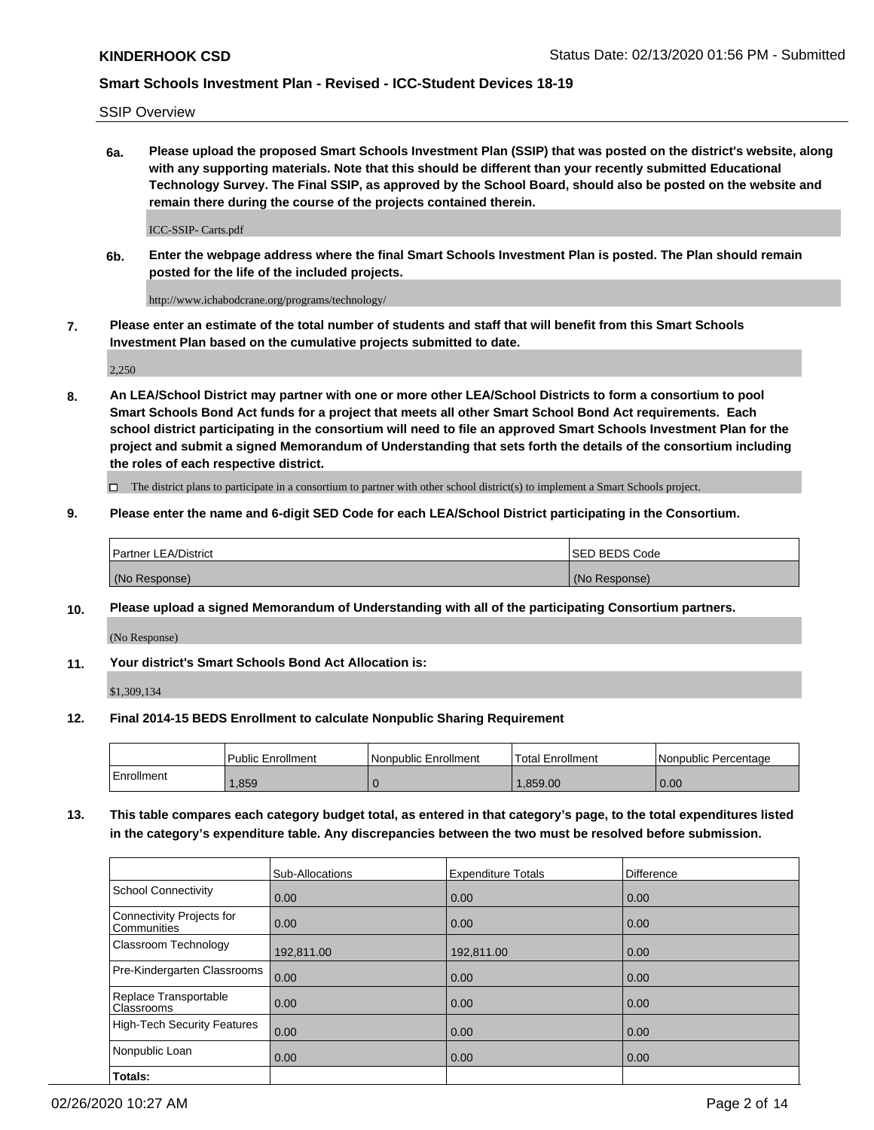SSIP Overview

**6a. Please upload the proposed Smart Schools Investment Plan (SSIP) that was posted on the district's website, along with any supporting materials. Note that this should be different than your recently submitted Educational Technology Survey. The Final SSIP, as approved by the School Board, should also be posted on the website and remain there during the course of the projects contained therein.**

ICC-SSIP- Carts.pdf

**6b. Enter the webpage address where the final Smart Schools Investment Plan is posted. The Plan should remain posted for the life of the included projects.**

http://www.ichabodcrane.org/programs/technology/

**7. Please enter an estimate of the total number of students and staff that will benefit from this Smart Schools Investment Plan based on the cumulative projects submitted to date.**

2,250

**8. An LEA/School District may partner with one or more other LEA/School Districts to form a consortium to pool Smart Schools Bond Act funds for a project that meets all other Smart School Bond Act requirements. Each school district participating in the consortium will need to file an approved Smart Schools Investment Plan for the project and submit a signed Memorandum of Understanding that sets forth the details of the consortium including the roles of each respective district.**

 $\Box$  The district plans to participate in a consortium to partner with other school district(s) to implement a Smart Schools project.

### **9. Please enter the name and 6-digit SED Code for each LEA/School District participating in the Consortium.**

| Partner LEA/District | <b>ISED BEDS Code</b> |
|----------------------|-----------------------|
| (No Response)        | (No Response)         |

### **10. Please upload a signed Memorandum of Understanding with all of the participating Consortium partners.**

(No Response)

**11. Your district's Smart Schools Bond Act Allocation is:**

\$1,309,134

### **12. Final 2014-15 BEDS Enrollment to calculate Nonpublic Sharing Requirement**

|            | Public Enrollment | Nonpublic Enrollment | Total Enrollment | Nonpublic Percentage |
|------------|-------------------|----------------------|------------------|----------------------|
| Enrollment | .859              |                      | .859.00          | 0.00                 |

**13. This table compares each category budget total, as entered in that category's page, to the total expenditures listed in the category's expenditure table. Any discrepancies between the two must be resolved before submission.**

|                                          | Sub-Allocations | <b>Expenditure Totals</b> | <b>Difference</b> |
|------------------------------------------|-----------------|---------------------------|-------------------|
| <b>School Connectivity</b>               | 0.00            | 0.00                      | 0.00              |
| Connectivity Projects for<br>Communities | 0.00            | 0.00                      | 0.00              |
| Classroom Technology                     | 192,811.00      | 192,811.00                | 0.00              |
| Pre-Kindergarten Classrooms              | 0.00            | 0.00                      | 0.00              |
| Replace Transportable<br>Classrooms      | 0.00            | 0.00                      | 0.00              |
| High-Tech Security Features              | 0.00            | 0.00                      | 0.00              |
| Nonpublic Loan                           | 0.00            | 0.00                      | 0.00              |
| Totals:                                  |                 |                           |                   |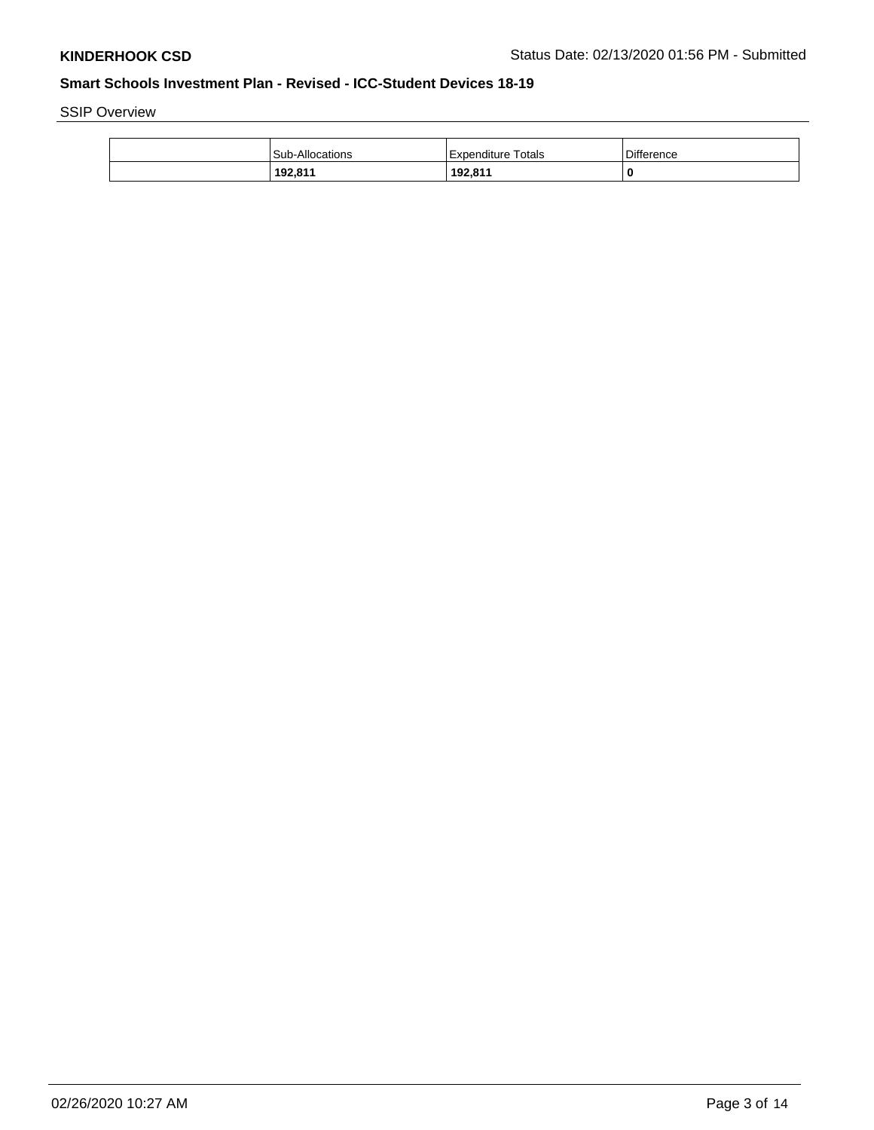SSIP Overview

| <b>Sub-Allocations</b> | Expenditure Totals | <b>Difference</b> |
|------------------------|--------------------|-------------------|
| 192,811                | 192,811            | 0                 |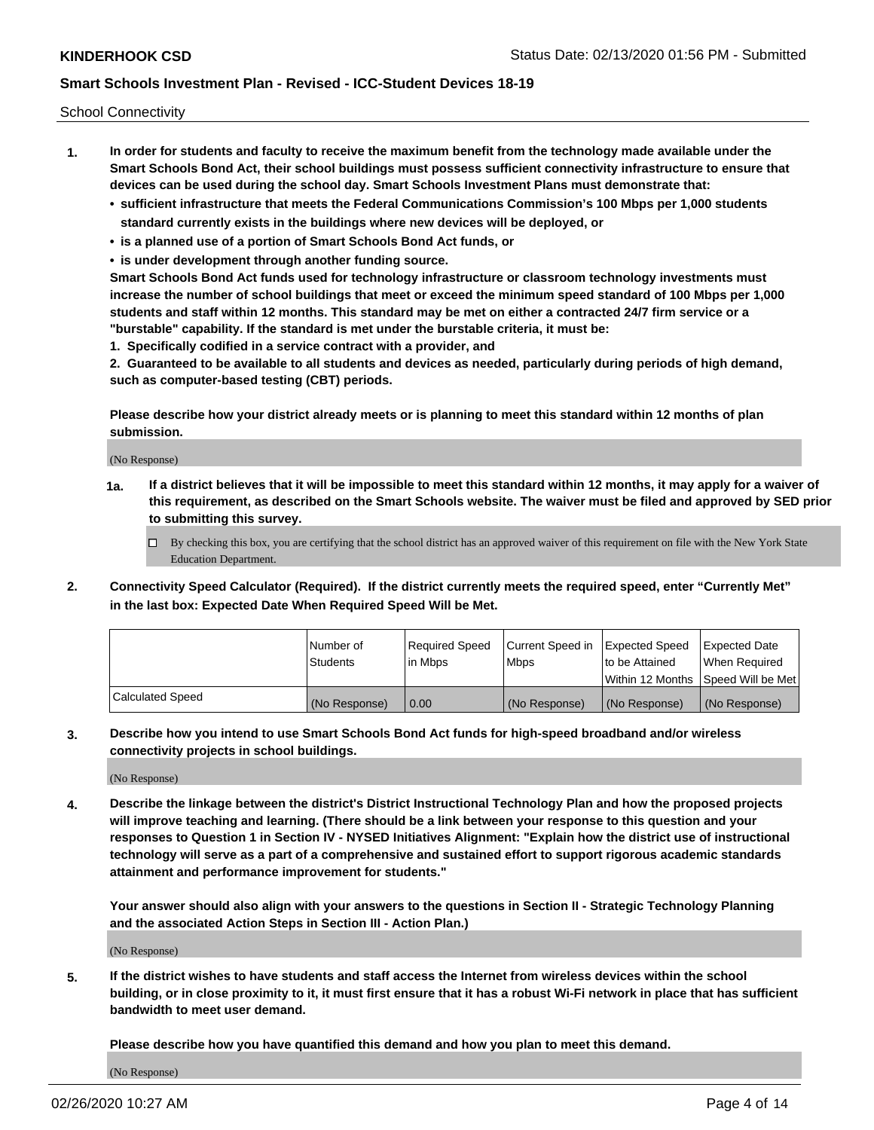School Connectivity

- **1. In order for students and faculty to receive the maximum benefit from the technology made available under the Smart Schools Bond Act, their school buildings must possess sufficient connectivity infrastructure to ensure that devices can be used during the school day. Smart Schools Investment Plans must demonstrate that:**
	- **• sufficient infrastructure that meets the Federal Communications Commission's 100 Mbps per 1,000 students standard currently exists in the buildings where new devices will be deployed, or**
	- **• is a planned use of a portion of Smart Schools Bond Act funds, or**
	- **• is under development through another funding source.**

**Smart Schools Bond Act funds used for technology infrastructure or classroom technology investments must increase the number of school buildings that meet or exceed the minimum speed standard of 100 Mbps per 1,000 students and staff within 12 months. This standard may be met on either a contracted 24/7 firm service or a "burstable" capability. If the standard is met under the burstable criteria, it must be:**

**1. Specifically codified in a service contract with a provider, and**

**2. Guaranteed to be available to all students and devices as needed, particularly during periods of high demand, such as computer-based testing (CBT) periods.**

**Please describe how your district already meets or is planning to meet this standard within 12 months of plan submission.**

(No Response)

**1a. If a district believes that it will be impossible to meet this standard within 12 months, it may apply for a waiver of this requirement, as described on the Smart Schools website. The waiver must be filed and approved by SED prior to submitting this survey.**

 $\Box$  By checking this box, you are certifying that the school district has an approved waiver of this requirement on file with the New York State Education Department.

**2. Connectivity Speed Calculator (Required). If the district currently meets the required speed, enter "Currently Met" in the last box: Expected Date When Required Speed Will be Met.**

|                  | l Number of     | Required Speed | Current Speed in | Expected Speed  | Expected Date                           |
|------------------|-----------------|----------------|------------------|-----------------|-----------------------------------------|
|                  | <b>Students</b> | In Mbps        | l Mbps           | to be Attained  | When Required                           |
|                  |                 |                |                  |                 | l Within 12 Months ISpeed Will be Met l |
| Calculated Speed | (No Response)   | 0.00           | (No Response)    | l (No Response) | l (No Response)                         |

**3. Describe how you intend to use Smart Schools Bond Act funds for high-speed broadband and/or wireless connectivity projects in school buildings.**

(No Response)

**4. Describe the linkage between the district's District Instructional Technology Plan and how the proposed projects will improve teaching and learning. (There should be a link between your response to this question and your responses to Question 1 in Section IV - NYSED Initiatives Alignment: "Explain how the district use of instructional technology will serve as a part of a comprehensive and sustained effort to support rigorous academic standards attainment and performance improvement for students."** 

**Your answer should also align with your answers to the questions in Section II - Strategic Technology Planning and the associated Action Steps in Section III - Action Plan.)**

(No Response)

**5. If the district wishes to have students and staff access the Internet from wireless devices within the school building, or in close proximity to it, it must first ensure that it has a robust Wi-Fi network in place that has sufficient bandwidth to meet user demand.**

**Please describe how you have quantified this demand and how you plan to meet this demand.**

(No Response)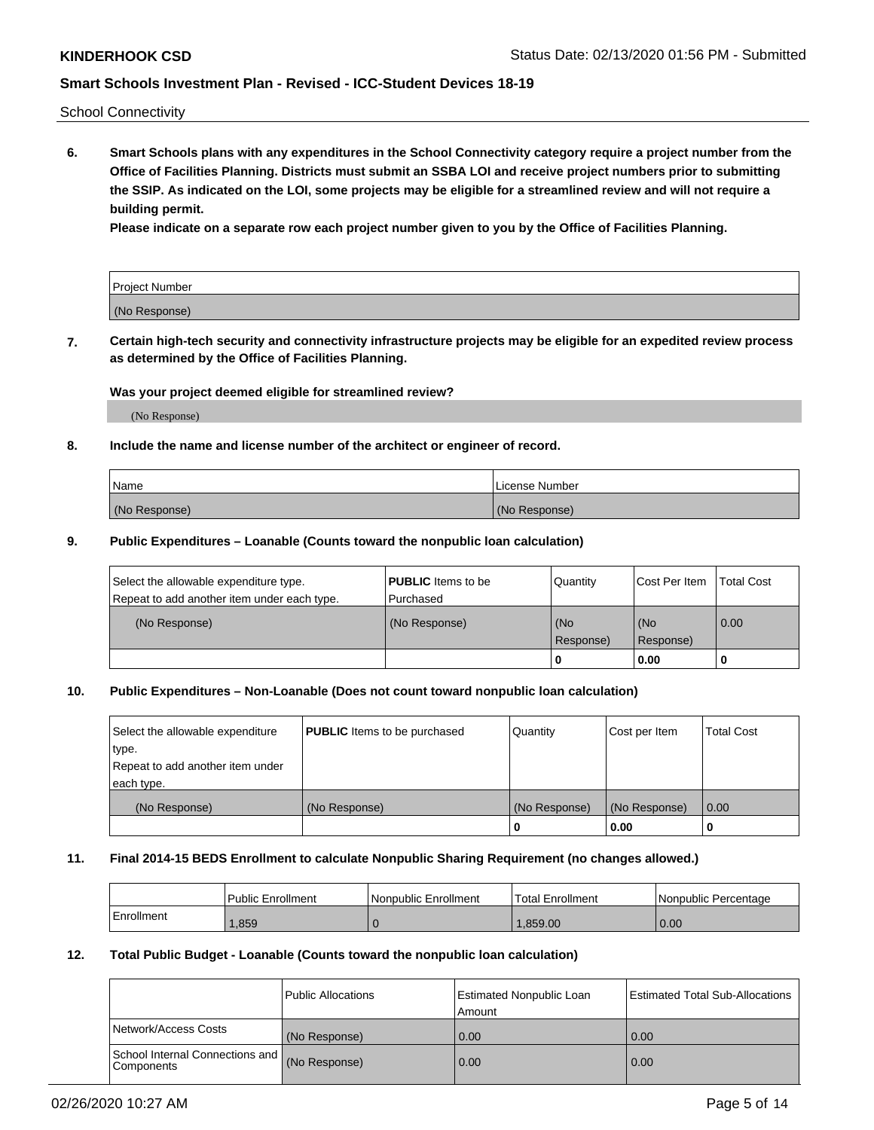School Connectivity

**6. Smart Schools plans with any expenditures in the School Connectivity category require a project number from the Office of Facilities Planning. Districts must submit an SSBA LOI and receive project numbers prior to submitting the SSIP. As indicated on the LOI, some projects may be eligible for a streamlined review and will not require a building permit.**

**Please indicate on a separate row each project number given to you by the Office of Facilities Planning.**

| Project Number |  |
|----------------|--|
| (No Response)  |  |

**7. Certain high-tech security and connectivity infrastructure projects may be eligible for an expedited review process as determined by the Office of Facilities Planning.**

## **Was your project deemed eligible for streamlined review?**

(No Response)

## **8. Include the name and license number of the architect or engineer of record.**

| Name          | License Number |
|---------------|----------------|
| (No Response) | (No Response)  |

### **9. Public Expenditures – Loanable (Counts toward the nonpublic loan calculation)**

| Select the allowable expenditure type.<br>Repeat to add another item under each type. | <b>PUBLIC</b> Items to be<br>l Purchased | Quantity           | Cost Per Item    | <b>Total Cost</b> |
|---------------------------------------------------------------------------------------|------------------------------------------|--------------------|------------------|-------------------|
| (No Response)                                                                         | (No Response)                            | l (No<br>Response) | (No<br>Response) | $\overline{0.00}$ |
|                                                                                       |                                          | O                  | 0.00             |                   |

## **10. Public Expenditures – Non-Loanable (Does not count toward nonpublic loan calculation)**

| Select the allowable expenditure<br>type.<br>Repeat to add another item under<br>each type. | <b>PUBLIC</b> Items to be purchased | Quantity      | Cost per Item | <b>Total Cost</b> |
|---------------------------------------------------------------------------------------------|-------------------------------------|---------------|---------------|-------------------|
| (No Response)                                                                               | (No Response)                       | (No Response) | (No Response) | 0.00              |
|                                                                                             |                                     |               | 0.00          |                   |

### **11. Final 2014-15 BEDS Enrollment to calculate Nonpublic Sharing Requirement (no changes allowed.)**

|            | Public Enrollment | Nonpublic Enrollment | <b>Total Enrollment</b> | l Nonpublic Percentage |
|------------|-------------------|----------------------|-------------------------|------------------------|
| Enrollment | ,859              |                      | .859.00                 | 0.00                   |

### **12. Total Public Budget - Loanable (Counts toward the nonpublic loan calculation)**

|                                                      | Public Allocations | <b>Estimated Nonpublic Loan</b><br>Amount | Estimated Total Sub-Allocations |
|------------------------------------------------------|--------------------|-------------------------------------------|---------------------------------|
| Network/Access Costs                                 | (No Response)      | 0.00                                      | 0.00                            |
| School Internal Connections and<br><b>Components</b> | (No Response)      | 0.00                                      | 0.00                            |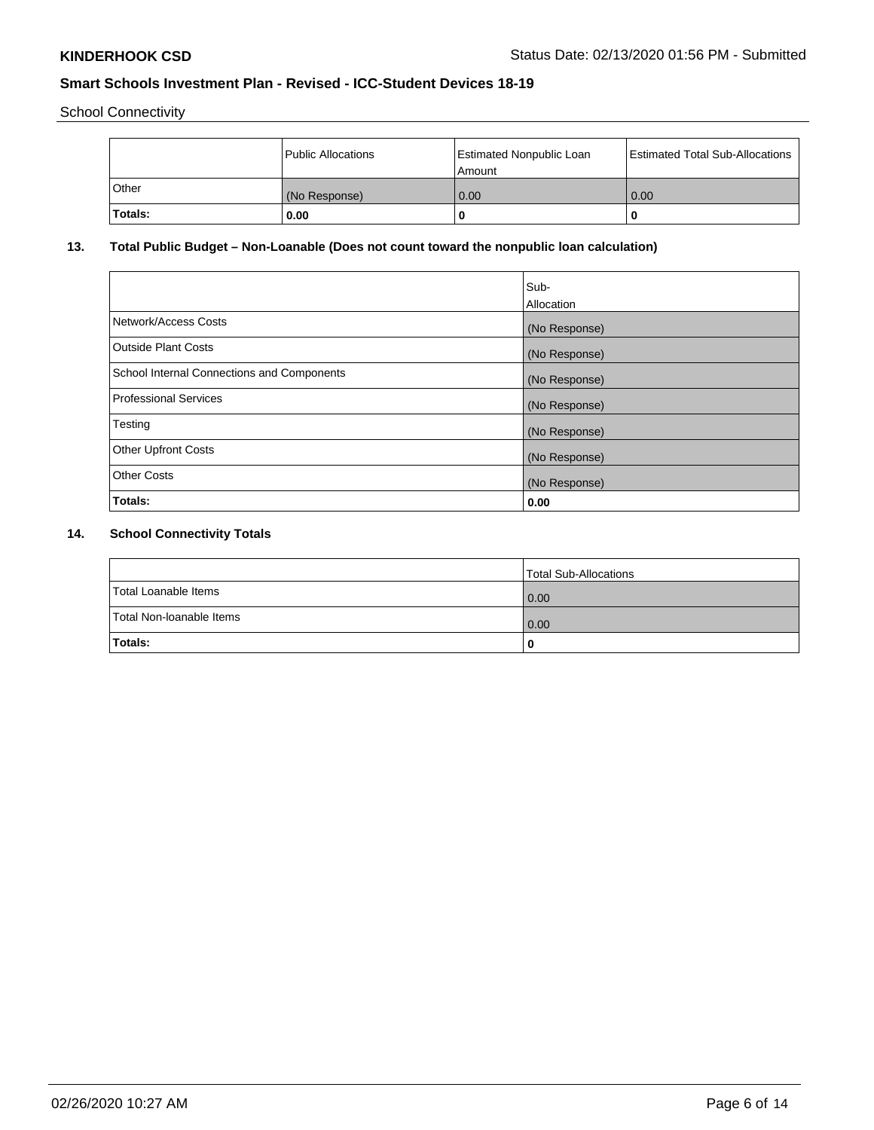School Connectivity

|                | Public Allocations | <b>Estimated Nonpublic Loan</b><br>l Amount | <b>Estimated Total Sub-Allocations</b> |
|----------------|--------------------|---------------------------------------------|----------------------------------------|
| l Other        | (No Response)      | 0.00                                        | 0.00                                   |
| <b>Totals:</b> | 0.00               | 0                                           |                                        |

# **13. Total Public Budget – Non-Loanable (Does not count toward the nonpublic loan calculation)**

|                                                   | Sub-<br>Allocation |
|---------------------------------------------------|--------------------|
| Network/Access Costs                              | (No Response)      |
| Outside Plant Costs                               | (No Response)      |
| <b>School Internal Connections and Components</b> | (No Response)      |
| Professional Services                             | (No Response)      |
| Testing                                           | (No Response)      |
| <b>Other Upfront Costs</b>                        | (No Response)      |
| <b>Other Costs</b>                                | (No Response)      |
| Totals:                                           | 0.00               |

# **14. School Connectivity Totals**

|                          | Total Sub-Allocations |
|--------------------------|-----------------------|
| Total Loanable Items     | 0.00                  |
| Total Non-Ioanable Items | 0.00                  |
| Totals:                  | 0                     |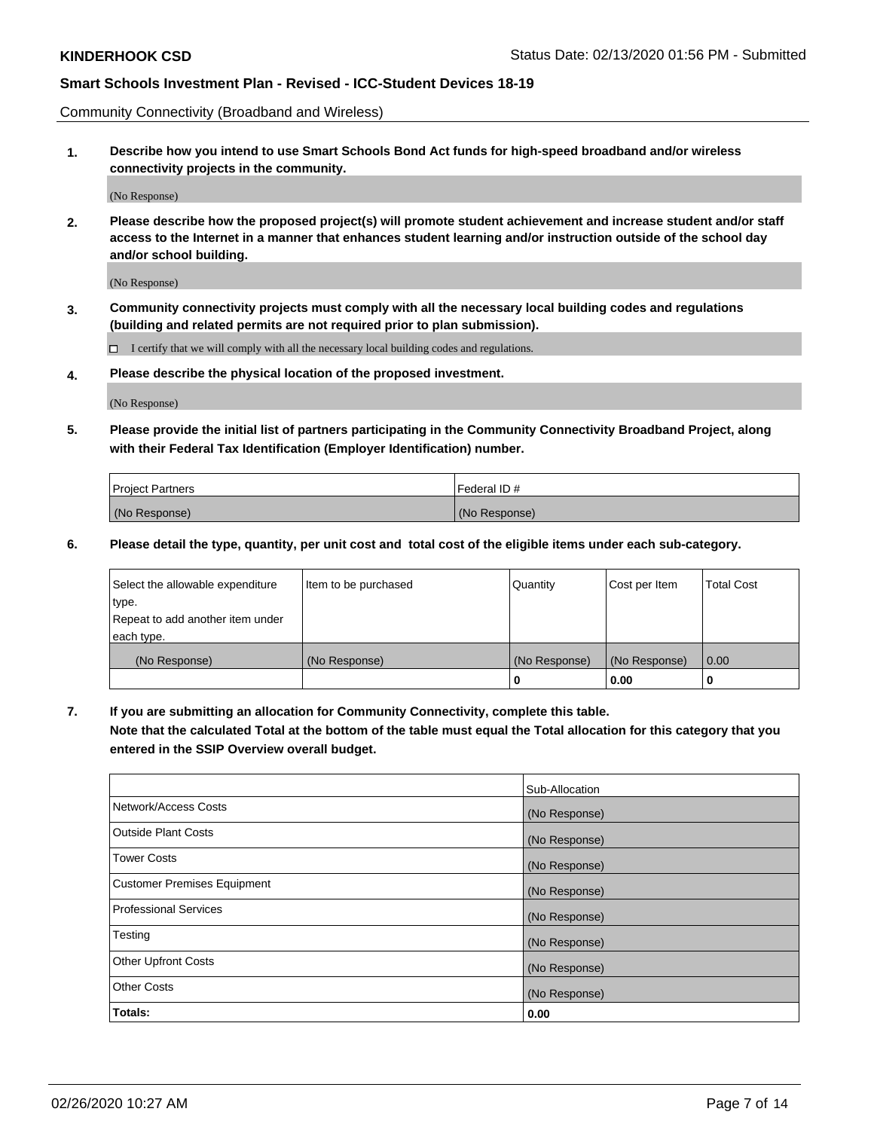Community Connectivity (Broadband and Wireless)

**1. Describe how you intend to use Smart Schools Bond Act funds for high-speed broadband and/or wireless connectivity projects in the community.**

(No Response)

**2. Please describe how the proposed project(s) will promote student achievement and increase student and/or staff access to the Internet in a manner that enhances student learning and/or instruction outside of the school day and/or school building.**

(No Response)

**3. Community connectivity projects must comply with all the necessary local building codes and regulations (building and related permits are not required prior to plan submission).**

 $\Box$  I certify that we will comply with all the necessary local building codes and regulations.

**4. Please describe the physical location of the proposed investment.**

(No Response)

**5. Please provide the initial list of partners participating in the Community Connectivity Broadband Project, along with their Federal Tax Identification (Employer Identification) number.**

| <b>Project Partners</b> | l Federal ID # |
|-------------------------|----------------|
| (No Response)           | (No Response)  |

**6. Please detail the type, quantity, per unit cost and total cost of the eligible items under each sub-category.**

| Select the allowable expenditure | Item to be purchased | Quantity      | Cost per Item | <b>Total Cost</b> |
|----------------------------------|----------------------|---------------|---------------|-------------------|
| type.                            |                      |               |               |                   |
| Repeat to add another item under |                      |               |               |                   |
| each type.                       |                      |               |               |                   |
| (No Response)                    | (No Response)        | (No Response) | (No Response) | 0.00              |
|                                  |                      | o             | 0.00          |                   |

**7. If you are submitting an allocation for Community Connectivity, complete this table.**

**Note that the calculated Total at the bottom of the table must equal the Total allocation for this category that you entered in the SSIP Overview overall budget.**

|                                    | Sub-Allocation |
|------------------------------------|----------------|
| Network/Access Costs               | (No Response)  |
| Outside Plant Costs                | (No Response)  |
| <b>Tower Costs</b>                 | (No Response)  |
| <b>Customer Premises Equipment</b> | (No Response)  |
| <b>Professional Services</b>       | (No Response)  |
| Testing                            | (No Response)  |
| <b>Other Upfront Costs</b>         | (No Response)  |
| <b>Other Costs</b>                 | (No Response)  |
| Totals:                            | 0.00           |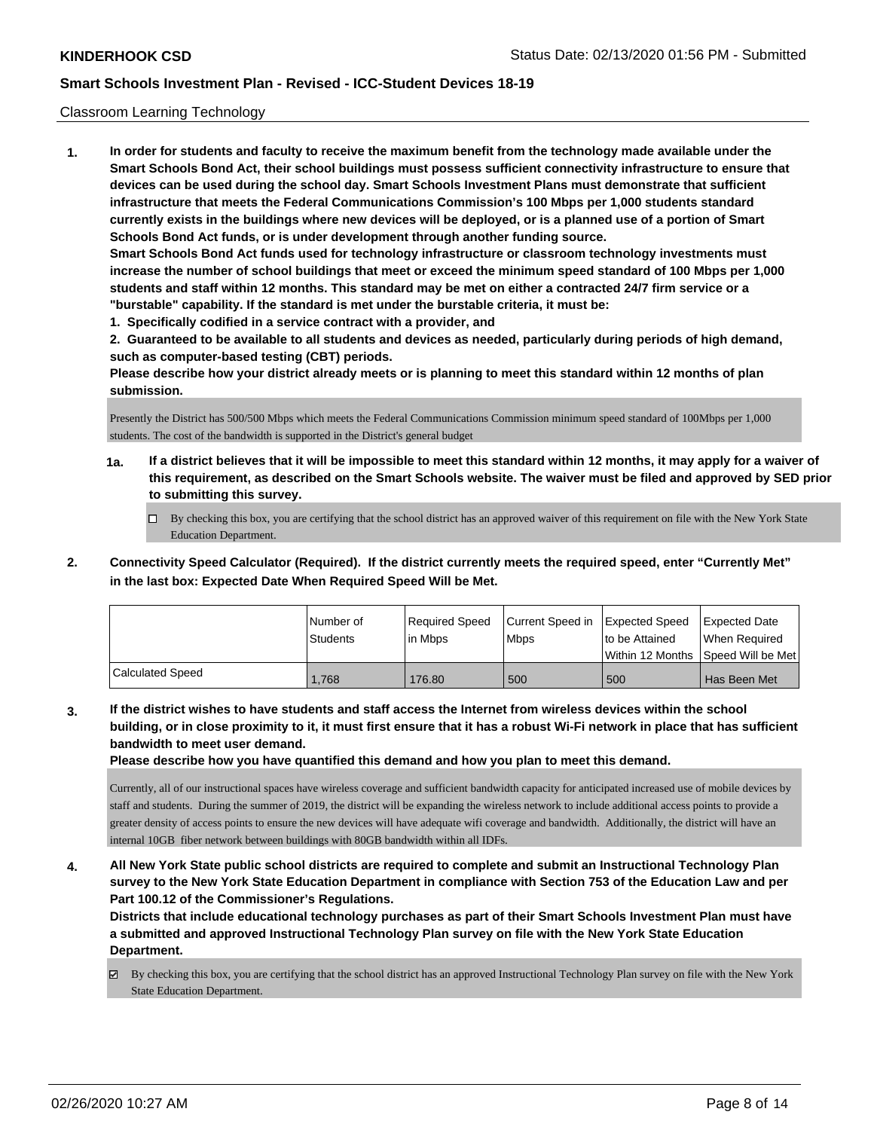### Classroom Learning Technology

**1. In order for students and faculty to receive the maximum benefit from the technology made available under the Smart Schools Bond Act, their school buildings must possess sufficient connectivity infrastructure to ensure that devices can be used during the school day. Smart Schools Investment Plans must demonstrate that sufficient infrastructure that meets the Federal Communications Commission's 100 Mbps per 1,000 students standard currently exists in the buildings where new devices will be deployed, or is a planned use of a portion of Smart Schools Bond Act funds, or is under development through another funding source. Smart Schools Bond Act funds used for technology infrastructure or classroom technology investments must increase the number of school buildings that meet or exceed the minimum speed standard of 100 Mbps per 1,000 students and staff within 12 months. This standard may be met on either a contracted 24/7 firm service or a "burstable" capability. If the standard is met under the burstable criteria, it must be:**

**1. Specifically codified in a service contract with a provider, and**

**2. Guaranteed to be available to all students and devices as needed, particularly during periods of high demand, such as computer-based testing (CBT) periods.**

**Please describe how your district already meets or is planning to meet this standard within 12 months of plan submission.**

Presently the District has 500/500 Mbps which meets the Federal Communications Commission minimum speed standard of 100Mbps per 1,000 students. The cost of the bandwidth is supported in the District's general budget

- **1a. If a district believes that it will be impossible to meet this standard within 12 months, it may apply for a waiver of this requirement, as described on the Smart Schools website. The waiver must be filed and approved by SED prior to submitting this survey.**
	- By checking this box, you are certifying that the school district has an approved waiver of this requirement on file with the New York State Education Department.
- **2. Connectivity Speed Calculator (Required). If the district currently meets the required speed, enter "Currently Met" in the last box: Expected Date When Required Speed Will be Met.**

|                         | l Number of<br>Students | Required Speed<br>l in Mbps | Current Speed in<br>l Mbps | <b>Expected Speed</b><br>to be Attained | <b>Expected Date</b><br>When Required<br> Within 12 Months  Speed Will be Met |
|-------------------------|-------------------------|-----------------------------|----------------------------|-----------------------------------------|-------------------------------------------------------------------------------|
| <b>Calculated Speed</b> | .768                    | 176.80                      | 500                        | 500                                     | Has Been Met                                                                  |

**3. If the district wishes to have students and staff access the Internet from wireless devices within the school building, or in close proximity to it, it must first ensure that it has a robust Wi-Fi network in place that has sufficient bandwidth to meet user demand.**

**Please describe how you have quantified this demand and how you plan to meet this demand.**

Currently, all of our instructional spaces have wireless coverage and sufficient bandwidth capacity for anticipated increased use of mobile devices by staff and students. During the summer of 2019, the district will be expanding the wireless network to include additional access points to provide a greater density of access points to ensure the new devices will have adequate wifi coverage and bandwidth. Additionally, the district will have an internal 10GB fiber network between buildings with 80GB bandwidth within all IDFs.

**4. All New York State public school districts are required to complete and submit an Instructional Technology Plan survey to the New York State Education Department in compliance with Section 753 of the Education Law and per Part 100.12 of the Commissioner's Regulations.**

**Districts that include educational technology purchases as part of their Smart Schools Investment Plan must have a submitted and approved Instructional Technology Plan survey on file with the New York State Education Department.**

By checking this box, you are certifying that the school district has an approved Instructional Technology Plan survey on file with the New York State Education Department.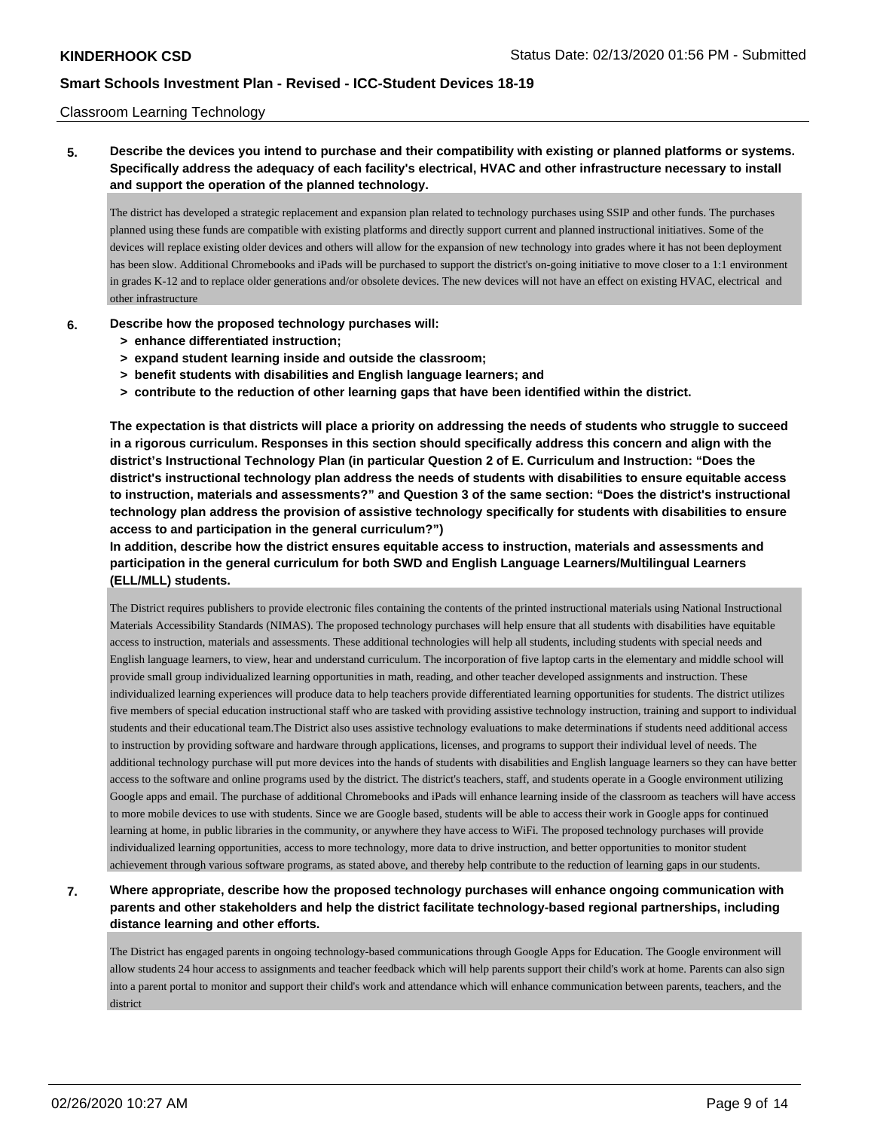### Classroom Learning Technology

**5. Describe the devices you intend to purchase and their compatibility with existing or planned platforms or systems. Specifically address the adequacy of each facility's electrical, HVAC and other infrastructure necessary to install and support the operation of the planned technology.**

The district has developed a strategic replacement and expansion plan related to technology purchases using SSIP and other funds. The purchases planned using these funds are compatible with existing platforms and directly support current and planned instructional initiatives. Some of the devices will replace existing older devices and others will allow for the expansion of new technology into grades where it has not been deployment has been slow. Additional Chromebooks and iPads will be purchased to support the district's on-going initiative to move closer to a 1:1 environment in grades K-12 and to replace older generations and/or obsolete devices. The new devices will not have an effect on existing HVAC, electrical and other infrastructure

- **6. Describe how the proposed technology purchases will:**
	- **> enhance differentiated instruction;**
	- **> expand student learning inside and outside the classroom;**
	- **> benefit students with disabilities and English language learners; and**
	- **> contribute to the reduction of other learning gaps that have been identified within the district.**

**The expectation is that districts will place a priority on addressing the needs of students who struggle to succeed in a rigorous curriculum. Responses in this section should specifically address this concern and align with the district's Instructional Technology Plan (in particular Question 2 of E. Curriculum and Instruction: "Does the district's instructional technology plan address the needs of students with disabilities to ensure equitable access to instruction, materials and assessments?" and Question 3 of the same section: "Does the district's instructional technology plan address the provision of assistive technology specifically for students with disabilities to ensure access to and participation in the general curriculum?")**

**In addition, describe how the district ensures equitable access to instruction, materials and assessments and participation in the general curriculum for both SWD and English Language Learners/Multilingual Learners (ELL/MLL) students.**

The District requires publishers to provide electronic files containing the contents of the printed instructional materials using National Instructional Materials Accessibility Standards (NIMAS). The proposed technology purchases will help ensure that all students with disabilities have equitable access to instruction, materials and assessments. These additional technologies will help all students, including students with special needs and English language learners, to view, hear and understand curriculum. The incorporation of five laptop carts in the elementary and middle school will provide small group individualized learning opportunities in math, reading, and other teacher developed assignments and instruction. These individualized learning experiences will produce data to help teachers provide differentiated learning opportunities for students. The district utilizes five members of special education instructional staff who are tasked with providing assistive technology instruction, training and support to individual students and their educational team.The District also uses assistive technology evaluations to make determinations if students need additional access to instruction by providing software and hardware through applications, licenses, and programs to support their individual level of needs. The additional technology purchase will put more devices into the hands of students with disabilities and English language learners so they can have better access to the software and online programs used by the district. The district's teachers, staff, and students operate in a Google environment utilizing Google apps and email. The purchase of additional Chromebooks and iPads will enhance learning inside of the classroom as teachers will have access to more mobile devices to use with students. Since we are Google based, students will be able to access their work in Google apps for continued learning at home, in public libraries in the community, or anywhere they have access to WiFi. The proposed technology purchases will provide individualized learning opportunities, access to more technology, more data to drive instruction, and better opportunities to monitor student achievement through various software programs, as stated above, and thereby help contribute to the reduction of learning gaps in our students.

**7. Where appropriate, describe how the proposed technology purchases will enhance ongoing communication with parents and other stakeholders and help the district facilitate technology-based regional partnerships, including distance learning and other efforts.**

The District has engaged parents in ongoing technology-based communications through Google Apps for Education. The Google environment will allow students 24 hour access to assignments and teacher feedback which will help parents support their child's work at home. Parents can also sign into a parent portal to monitor and support their child's work and attendance which will enhance communication between parents, teachers, and the district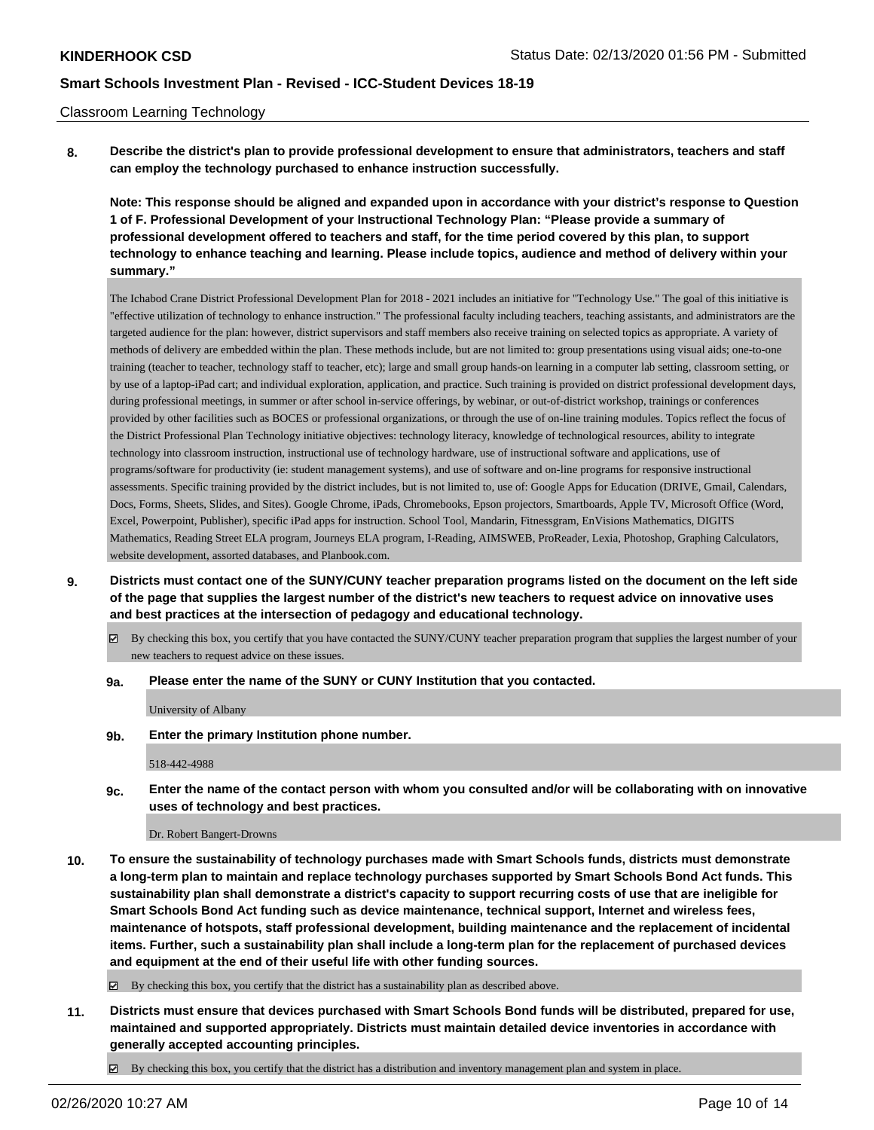### Classroom Learning Technology

**8. Describe the district's plan to provide professional development to ensure that administrators, teachers and staff can employ the technology purchased to enhance instruction successfully.**

**Note: This response should be aligned and expanded upon in accordance with your district's response to Question 1 of F. Professional Development of your Instructional Technology Plan: "Please provide a summary of professional development offered to teachers and staff, for the time period covered by this plan, to support technology to enhance teaching and learning. Please include topics, audience and method of delivery within your summary."**

The Ichabod Crane District Professional Development Plan for 2018 - 2021 includes an initiative for "Technology Use." The goal of this initiative is "effective utilization of technology to enhance instruction." The professional faculty including teachers, teaching assistants, and administrators are the targeted audience for the plan: however, district supervisors and staff members also receive training on selected topics as appropriate. A variety of methods of delivery are embedded within the plan. These methods include, but are not limited to: group presentations using visual aids; one-to-one training (teacher to teacher, technology staff to teacher, etc); large and small group hands-on learning in a computer lab setting, classroom setting, or by use of a laptop-iPad cart; and individual exploration, application, and practice. Such training is provided on district professional development days, during professional meetings, in summer or after school in-service offerings, by webinar, or out-of-district workshop, trainings or conferences provided by other facilities such as BOCES or professional organizations, or through the use of on-line training modules. Topics reflect the focus of the District Professional Plan Technology initiative objectives: technology literacy, knowledge of technological resources, ability to integrate technology into classroom instruction, instructional use of technology hardware, use of instructional software and applications, use of programs/software for productivity (ie: student management systems), and use of software and on-line programs for responsive instructional assessments. Specific training provided by the district includes, but is not limited to, use of: Google Apps for Education (DRIVE, Gmail, Calendars, Docs, Forms, Sheets, Slides, and Sites). Google Chrome, iPads, Chromebooks, Epson projectors, Smartboards, Apple TV, Microsoft Office (Word, Excel, Powerpoint, Publisher), specific iPad apps for instruction. School Tool, Mandarin, Fitnessgram, EnVisions Mathematics, DIGITS Mathematics, Reading Street ELA program, Journeys ELA program, I-Reading, AIMSWEB, ProReader, Lexia, Photoshop, Graphing Calculators, website development, assorted databases, and Planbook.com.

- **9. Districts must contact one of the SUNY/CUNY teacher preparation programs listed on the document on the left side of the page that supplies the largest number of the district's new teachers to request advice on innovative uses and best practices at the intersection of pedagogy and educational technology.**
	- By checking this box, you certify that you have contacted the SUNY/CUNY teacher preparation program that supplies the largest number of your new teachers to request advice on these issues.

### **9a. Please enter the name of the SUNY or CUNY Institution that you contacted.**

University of Albany

**9b. Enter the primary Institution phone number.**

518-442-4988

**9c. Enter the name of the contact person with whom you consulted and/or will be collaborating with on innovative uses of technology and best practices.**

Dr. Robert Bangert-Drowns

**10. To ensure the sustainability of technology purchases made with Smart Schools funds, districts must demonstrate a long-term plan to maintain and replace technology purchases supported by Smart Schools Bond Act funds. This sustainability plan shall demonstrate a district's capacity to support recurring costs of use that are ineligible for Smart Schools Bond Act funding such as device maintenance, technical support, Internet and wireless fees, maintenance of hotspots, staff professional development, building maintenance and the replacement of incidental items. Further, such a sustainability plan shall include a long-term plan for the replacement of purchased devices and equipment at the end of their useful life with other funding sources.**

 $\boxtimes$  By checking this box, you certify that the district has a sustainability plan as described above.

- **11. Districts must ensure that devices purchased with Smart Schools Bond funds will be distributed, prepared for use, maintained and supported appropriately. Districts must maintain detailed device inventories in accordance with generally accepted accounting principles.**
	- By checking this box, you certify that the district has a distribution and inventory management plan and system in place.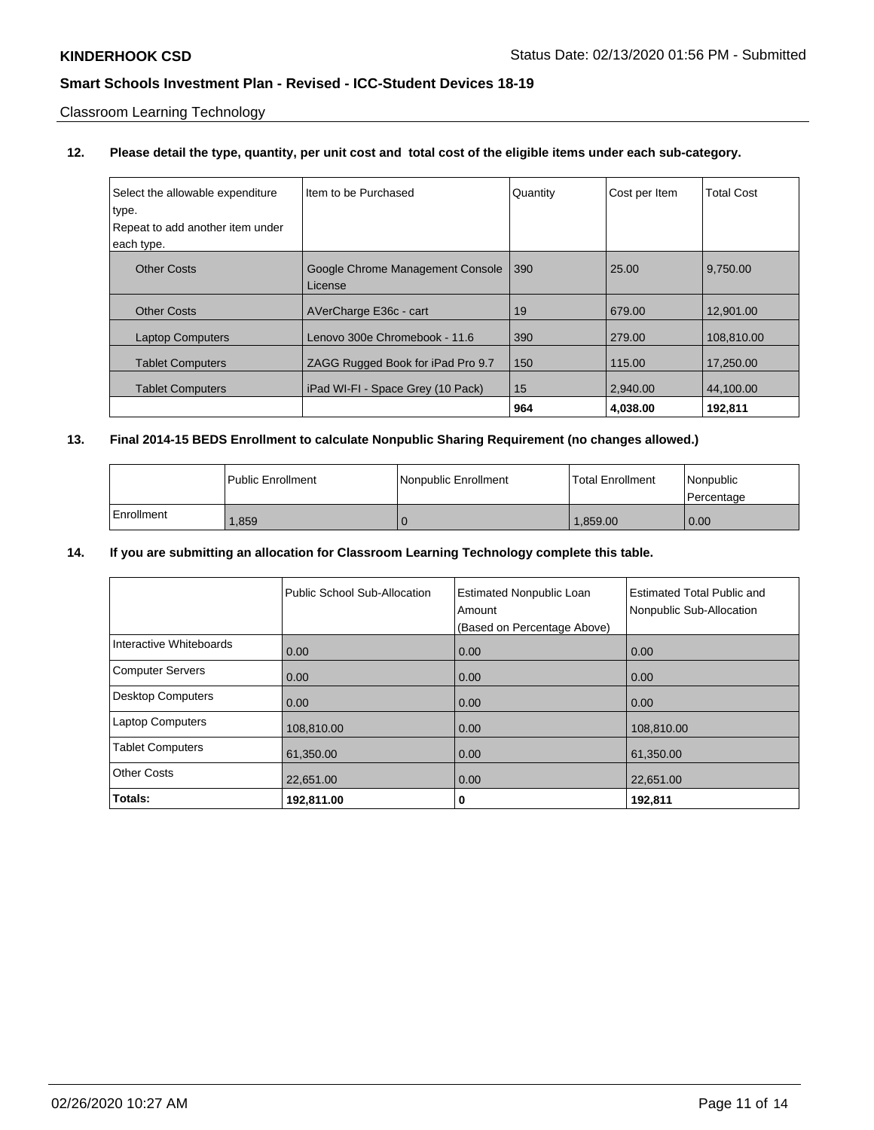Classroom Learning Technology

## **12. Please detail the type, quantity, per unit cost and total cost of the eligible items under each sub-category.**

| Select the allowable expenditure | Item to be Purchased                        | Quantity | Cost per Item | <b>Total Cost</b> |
|----------------------------------|---------------------------------------------|----------|---------------|-------------------|
| type.                            |                                             |          |               |                   |
| Repeat to add another item under |                                             |          |               |                   |
| each type.                       |                                             |          |               |                   |
| <b>Other Costs</b>               | Google Chrome Management Console<br>License | 390      | 25.00         | 9.750.00          |
|                                  |                                             |          |               |                   |
| <b>Other Costs</b>               | AVerCharge E36c - cart                      | 19       | 679.00        | 12.901.00         |
| <b>Laptop Computers</b>          | Lenovo 300e Chromebook - 11.6               | 390      | 279.00        | 108,810.00        |
| <b>Tablet Computers</b>          | ZAGG Rugged Book for iPad Pro 9.7           | 150      | 115.00        | 17.250.00         |
| <b>Tablet Computers</b>          | iPad WI-FI - Space Grey (10 Pack)           | 15       | 2.940.00      | 44.100.00         |
|                                  |                                             | 964      | 4.038.00      | 192,811           |

## **13. Final 2014-15 BEDS Enrollment to calculate Nonpublic Sharing Requirement (no changes allowed.)**

|            | Public Enrollment | Nonpublic Enrollment | <b>Total Enrollment</b> | <i>Nonpublic</i><br>Percentage |
|------------|-------------------|----------------------|-------------------------|--------------------------------|
| Enrollment | .859              |                      | 1.859.00                | 0.00                           |

## **14. If you are submitting an allocation for Classroom Learning Technology complete this table.**

|                         | Public School Sub-Allocation | <b>Estimated Nonpublic Loan</b><br>Amount | <b>Estimated Total Public and</b><br>Nonpublic Sub-Allocation |
|-------------------------|------------------------------|-------------------------------------------|---------------------------------------------------------------|
|                         |                              | (Based on Percentage Above)               |                                                               |
| Interactive Whiteboards | 0.00                         | 0.00                                      | 0.00                                                          |
| Computer Servers        | 0.00                         | 0.00                                      | 0.00                                                          |
| Desktop Computers       | 0.00                         | 0.00                                      | 0.00                                                          |
| <b>Laptop Computers</b> | 108,810.00                   | 0.00                                      | 108,810.00                                                    |
| <b>Tablet Computers</b> | 61,350.00                    | 0.00                                      | 61,350.00                                                     |
| <b>Other Costs</b>      | 22,651.00                    | 0.00                                      | 22,651.00                                                     |
| Totals:                 | 192,811.00                   | 0                                         | 192,811                                                       |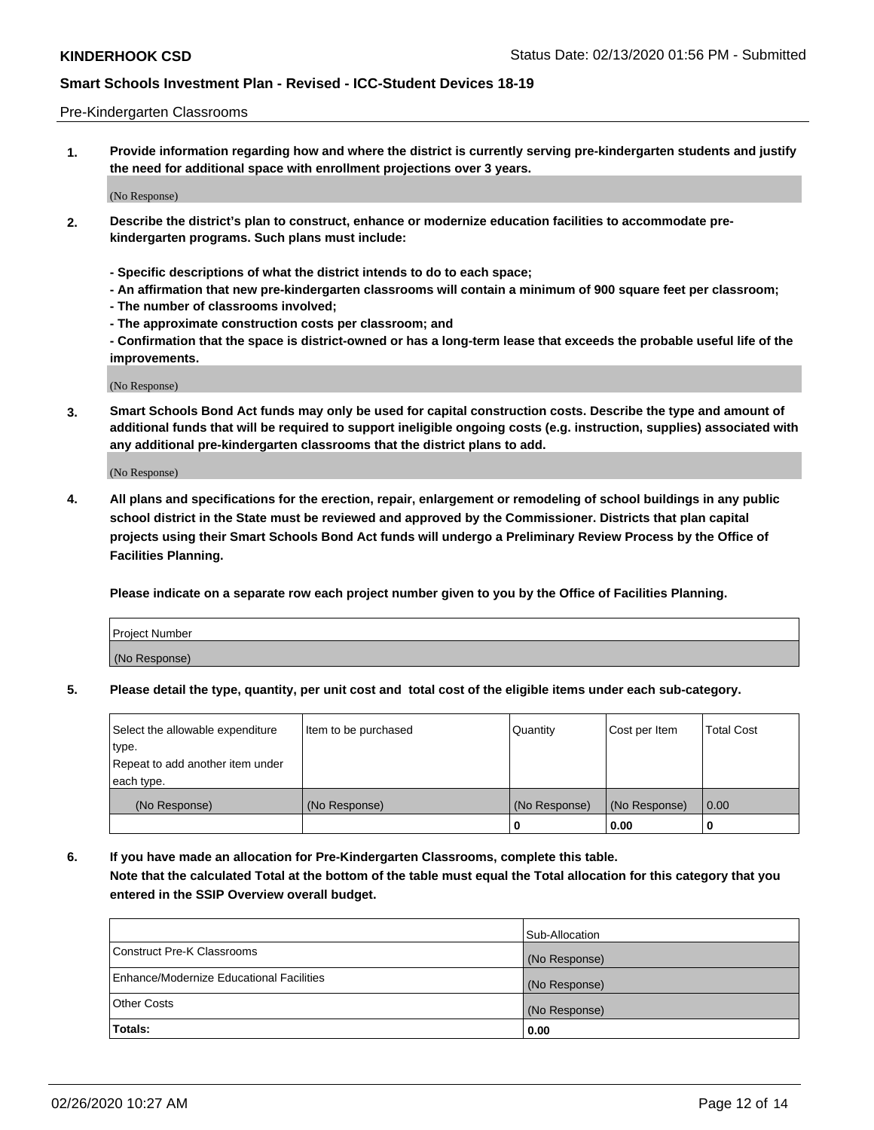### Pre-Kindergarten Classrooms

**1. Provide information regarding how and where the district is currently serving pre-kindergarten students and justify the need for additional space with enrollment projections over 3 years.**

(No Response)

- **2. Describe the district's plan to construct, enhance or modernize education facilities to accommodate prekindergarten programs. Such plans must include:**
	- **Specific descriptions of what the district intends to do to each space;**
	- **An affirmation that new pre-kindergarten classrooms will contain a minimum of 900 square feet per classroom;**
	- **The number of classrooms involved;**
	- **The approximate construction costs per classroom; and**
	- **Confirmation that the space is district-owned or has a long-term lease that exceeds the probable useful life of the improvements.**

(No Response)

**3. Smart Schools Bond Act funds may only be used for capital construction costs. Describe the type and amount of additional funds that will be required to support ineligible ongoing costs (e.g. instruction, supplies) associated with any additional pre-kindergarten classrooms that the district plans to add.**

(No Response)

**4. All plans and specifications for the erection, repair, enlargement or remodeling of school buildings in any public school district in the State must be reviewed and approved by the Commissioner. Districts that plan capital projects using their Smart Schools Bond Act funds will undergo a Preliminary Review Process by the Office of Facilities Planning.**

**Please indicate on a separate row each project number given to you by the Office of Facilities Planning.**

| Project Number |  |
|----------------|--|
| (No Response)  |  |
|                |  |

**5. Please detail the type, quantity, per unit cost and total cost of the eligible items under each sub-category.**

| Select the allowable expenditure | Item to be purchased | Quantity      | Cost per Item | <b>Total Cost</b> |
|----------------------------------|----------------------|---------------|---------------|-------------------|
| type.                            |                      |               |               |                   |
| Repeat to add another item under |                      |               |               |                   |
| each type.                       |                      |               |               |                   |
| (No Response)                    | (No Response)        | (No Response) | (No Response) | 0.00              |
|                                  |                      | U             | 0.00          |                   |

**6. If you have made an allocation for Pre-Kindergarten Classrooms, complete this table. Note that the calculated Total at the bottom of the table must equal the Total allocation for this category that you entered in the SSIP Overview overall budget.**

|                                          | Sub-Allocation |
|------------------------------------------|----------------|
| Construct Pre-K Classrooms               | (No Response)  |
| Enhance/Modernize Educational Facilities | (No Response)  |
| <b>Other Costs</b>                       | (No Response)  |
| Totals:                                  | 0.00           |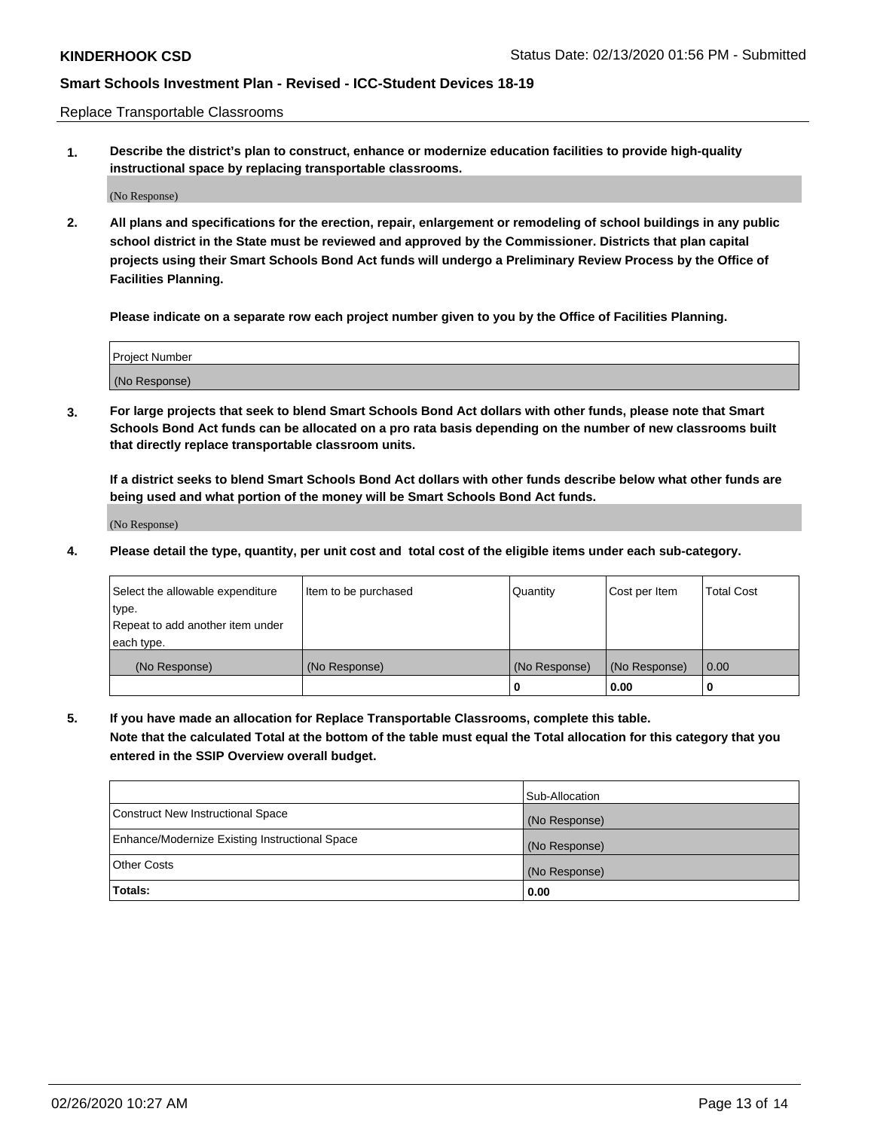Replace Transportable Classrooms

**1. Describe the district's plan to construct, enhance or modernize education facilities to provide high-quality instructional space by replacing transportable classrooms.**

(No Response)

**2. All plans and specifications for the erection, repair, enlargement or remodeling of school buildings in any public school district in the State must be reviewed and approved by the Commissioner. Districts that plan capital projects using their Smart Schools Bond Act funds will undergo a Preliminary Review Process by the Office of Facilities Planning.**

**Please indicate on a separate row each project number given to you by the Office of Facilities Planning.**

| Project Number |  |
|----------------|--|
|                |  |
|                |  |
|                |  |
|                |  |
| (No Response)  |  |
|                |  |
|                |  |
|                |  |

**3. For large projects that seek to blend Smart Schools Bond Act dollars with other funds, please note that Smart Schools Bond Act funds can be allocated on a pro rata basis depending on the number of new classrooms built that directly replace transportable classroom units.**

**If a district seeks to blend Smart Schools Bond Act dollars with other funds describe below what other funds are being used and what portion of the money will be Smart Schools Bond Act funds.**

(No Response)

**4. Please detail the type, quantity, per unit cost and total cost of the eligible items under each sub-category.**

| Select the allowable expenditure | Item to be purchased | Quantity      | Cost per Item | Total Cost |
|----------------------------------|----------------------|---------------|---------------|------------|
| ∣type.                           |                      |               |               |            |
| Repeat to add another item under |                      |               |               |            |
| each type.                       |                      |               |               |            |
| (No Response)                    | (No Response)        | (No Response) | (No Response) | 0.00       |
|                                  |                      | u             | 0.00          |            |

**5. If you have made an allocation for Replace Transportable Classrooms, complete this table. Note that the calculated Total at the bottom of the table must equal the Total allocation for this category that you entered in the SSIP Overview overall budget.**

|                                                | Sub-Allocation |
|------------------------------------------------|----------------|
| Construct New Instructional Space              | (No Response)  |
| Enhance/Modernize Existing Instructional Space | (No Response)  |
| Other Costs                                    | (No Response)  |
| Totals:                                        | 0.00           |